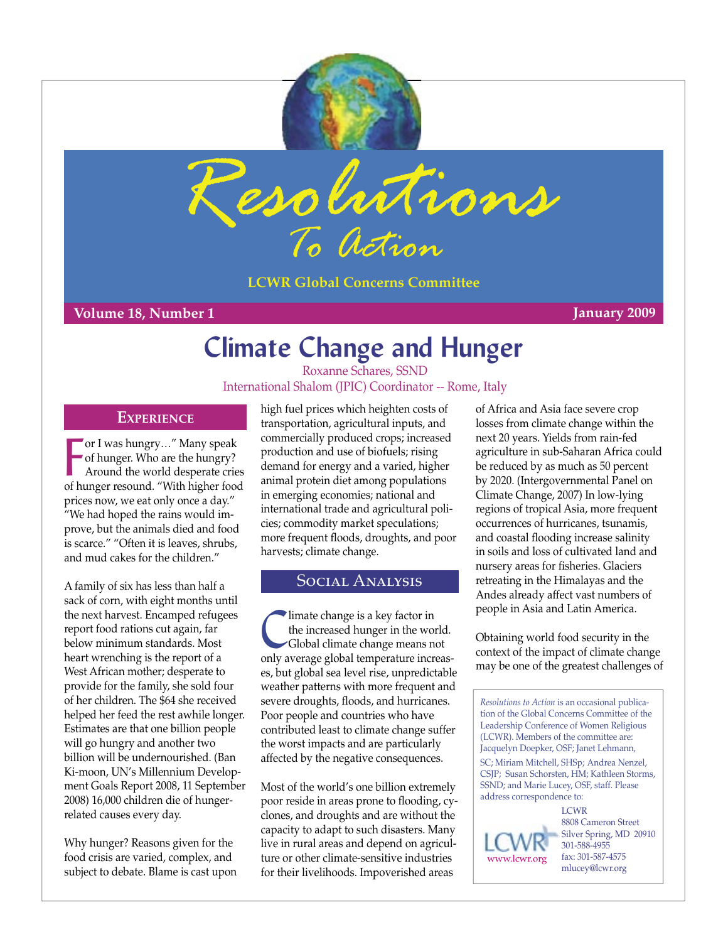



**LCWR Global Concerns Committee**

### **Volume 18, Number 1 January 2009**

# **Climate Change and Hunger**

Roxanne Schares, SSND International Shalom (JPIC) Coordinator -- Rome, Italy

### **EXPERIENCE**

For I was hungry..." Many speak<br>of hunger. Who are the hungry?<br>Around the world desperate cries<br>of hunger resound. "With higher food or I was hungry…" Many speak of hunger. Who are the hungry? Around the world desperate cries prices now, we eat only once a day." "We had hoped the rains would improve, but the animals died and food is scarce." "Often it is leaves, shrubs, and mud cakes for the children."

A family of six has less than half a sack of corn, with eight months until the next harvest. Encamped refugees report food rations cut again, far below minimum standards. Most heart wrenching is the report of a West African mother; desperate to provide for the family, she sold four of her children. The \$64 she received helped her feed the rest awhile longer. Estimates are that one billion people will go hungry and another two billion will be undernourished. (Ban Ki-moon, UN's Millennium Development Goals Report 2008, 11 September 2008) 16,000 children die of hungerrelated causes every day.

Why hunger? Reasons given for the food crisis are varied, complex, and subject to debate. Blame is cast upon

high fuel prices which heighten costs of transportation, agricultural inputs, and commercially produced crops; increased production and use of biofuels; rising demand for energy and a varied, higher animal protein diet among populations in emerging economies; national and international trade and agricultural policies; commodity market speculations; more frequent floods, droughts, and poor harvests; climate change.

# Social Analysis

limate change is a key factor in<br>the increased hunger in the work<br>Global climate change means no the increased hunger in the world. Global climate change means not only average global temperature increases, but global sea level rise, unpredictable weather patterns with more frequent and severe droughts, floods, and hurricanes. Poor people and countries who have contributed least to climate change suffer the worst impacts and are particularly affected by the negative consequences.

Most of the world's one billion extremely poor reside in areas prone to flooding, cyclones, and droughts and are without the capacity to adapt to such disasters. Many live in rural areas and depend on agriculture or other climate-sensitive industries for their livelihoods. Impoverished areas

of Africa and Asia face severe crop losses from climate change within the next 20 years. Yields from rain-fed agriculture in sub-Saharan Africa could be reduced by as much as 50 percent by 2020. (Intergovernmental Panel on Climate Change, 2007) In low-lying regions of tropical Asia, more frequent occurrences of hurricanes, tsunamis, and coastal flooding increase salinity in soils and loss of cultivated land and nursery areas for fisheries. Glaciers retreating in the Himalayas and the Andes already affect vast numbers of people in Asia and Latin America.

Obtaining world food security in the context of the impact of climate change may be one of the greatest challenges of

*Resolutions to Action* is an occasional publication of the Global Concerns Committee of the Leadership Conference of Women Religious (LCWR). Members of the committee are: Jacquelyn Doepker, OSF; Janet Lehmann, SC; Miriam Mitchell, SHSp; Andrea Nenzel, CSJP; Susan Schorsten, HM; Kathleen Storms, SSND; and Marie Lucey, OSF, staff. Please address correspondence to:

[www.lcwr.org](http://www.lcwr.org)

**LCWR** 8808 Cameron Street Silver Spring, MD 20910 301-588-4955 fax: 301-587-4575 mlucey@lcwr.org